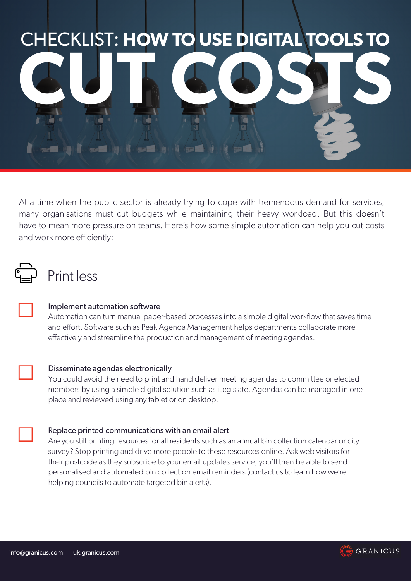

At a time when the public sector is already trying to cope with tremendous demand for services, many organisations must cut budgets while maintaining their heavy workload. But this doesn't have to mean more pressure on teams. Here's how some simple automation can help you cut costs and work more efficiently:

## Print less



☐

☐

#### Implement automation software

Automation can turn manual paper-based processes into a simple digital workflow that saves time and effort. Software such as [Peak Agenda Management]( https://uk.granicus.com/solutions/meeting-agenda-suite) helps departments collaborate more effectively and streamline the production and management of meeting agendas.

#### Disseminate agendas electronically

You could avoid the need to print and hand deliver meeting agendas to committee or elected members by using a simple digital solution such as iLegislate. Agendas can be managed in one place and reviewed using any tablet or on desktop.



Are you still printing resources for all residents such as an annual bin collection calendar or city survey? Stop printing and drive more people to these resources online. Ask web visitors for their postcode as they subscribe to your email updates service; you'll then be able to send personalised and [automated bin collection email reminders](http://granicus.com/pdfs/successstory_GC_wrexham_UK.pdf ) (contact us to learn how we're helping councils to automate targeted bin alerts).